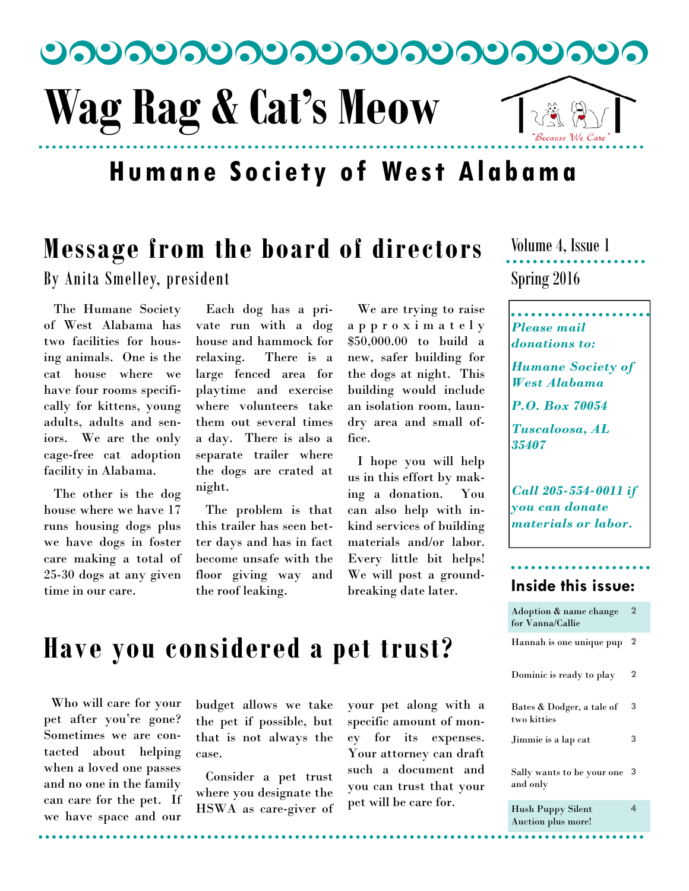

# **Humane Society of West Alabama**

# **Message from the board of directors**

By Anita Smelley, president

 The Humane Society of West Alabama has two facilities for housing animals. One is the cat house where we have four rooms specifically for kittens, young adults, adults and seniors. We are the only cage-free cat adoption facility in Alabama.

 The other is the dog house where we have 17 runs housing dogs plus we have dogs in foster care making a total of 25-30 dogs at any given time in our care.

 Each dog has a private run with a dog house and hammock for relaxing. There is a large fenced area for playtime and exercise where volunteers take them out several times a day. There is also a separate trailer where the dogs are crated at night.

 The problem is that this trailer has seen better days and has in fact become unsafe with the floor giving way and the roof leaking.

 We are trying to raise a p p r o x i m a t e l y \$50,000.00 to build a new, safer building for the dogs at night. This building would include an isolation room, laundry area and small office.

 I hope you will help us in this effort by making a donation. You can also help with inkind services of building materials and/or labor. Every little bit helps! We will post a groundbreaking date later.

Spring 2016 Volume 4, Issue 1

### *Please mail donations to:*

*Humane Society of West Alabama* 

*P.O. Box 70054* 

*Tuscaloosa, AL 35407* 

*Call 205-554-0011 if you can donate materials or labor.* 

### **Inside this issue:**

| Adoption & name change<br>for Vanna/Callie | $\mathbf{2}$ |
|--------------------------------------------|--------------|
| Hannah is one unique pup                   | $\mathbf 2$  |
| Dominic is ready to play                   | $\mathbf 2$  |
| Bates & Dodger, a tale of<br>two kitties   | 3            |
| Jimmie is a lap cat                        | 3            |
| Sally wants to be your one<br>and only     | 3            |
| <b>Hush Puppy Silent</b>                   | 4            |

Auction plus more!

# **Have you considered a pet trust?**

 Who will care for your pet after you're gone? Sometimes we are contacted about helping when a loved one passes and no one in the family can care for the pet. If we have space and our

budget allows we take the pet if possible, but that is not always the case.

 Consider a pet trust where you designate the HSWA as care-giver of your pet along with a specific amount of money for its expenses. Your attorney can draft such a document and you can trust that your pet will be care for.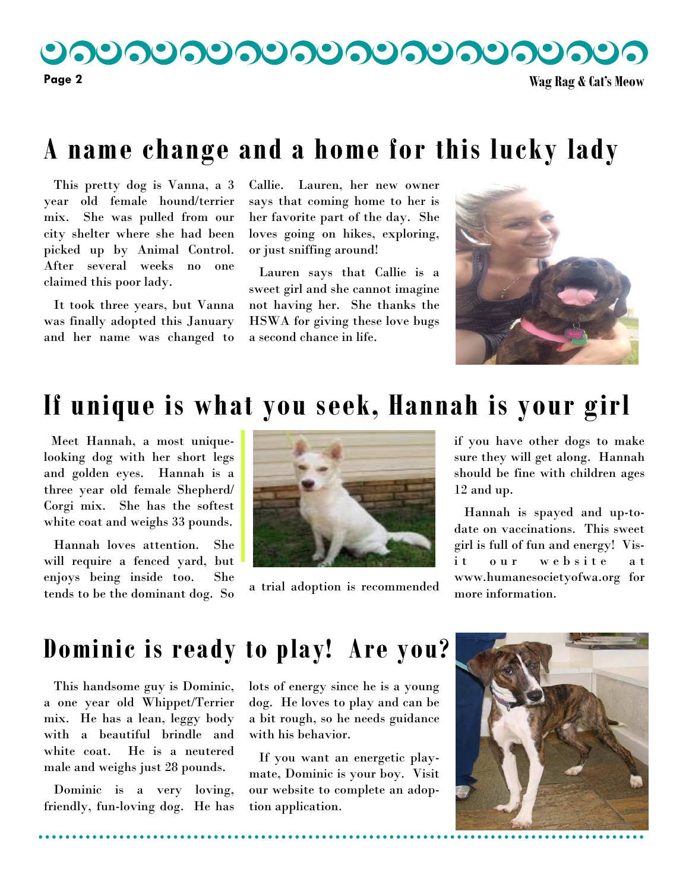りつりつりつりつりつりつりつりつりつ

**Page 2 Wag Rag & Cat's Meow** 

## **A name change and a home for this lucky lady**

 This pretty dog is Vanna, a 3 year old female hound/terrier mix. She was pulled from our city shelter where she had been picked up by Animal Control. After several weeks no one claimed this poor lady.

 It took three years, but Vanna was finally adopted this January and her name was changed to

Callie. Lauren, her new owner says that coming home to her is her favorite part of the day. She loves going on hikes, exploring, or just sniffing around!

 Lauren says that Callie is a sweet girl and she cannot imagine not having her. She thanks the HSWA for giving these love bugs a second chance in life.



## **If unique is what you seek, Hannah is your girl**

 Meet Hannah, a most uniquelooking dog with her short legs and golden eyes. Hannah is a three year old female Shepherd/ Corgi mix. She has the softest white coat and weighs 33 pounds.

 Hannah loves attention. She will require a fenced yard, but enjoys being inside too. She tends to be the dominant dog. So  $\overline{a}$  trial adoption is recommended



if you have other dogs to make sure they will get along. Hannah should be fine with children ages 12 and up.

 Hannah is spayed and up-todate on vaccinations. This sweet girl is full of fun and energy! Visit our website at www.humanesocietyofwa.org for more information.

### **Dominic is ready to play! Are you?**

 This handsome guy is Dominic, a one year old Whippet/Terrier mix. He has a lean, leggy body with a beautiful brindle and white coat. He is a neutered male and weighs just 28 pounds.

 Dominic is a very loving, friendly, fun-loving dog. He has lots of energy since he is a young dog. He loves to play and can be a bit rough, so he needs guidance with his behavior.

 If you want an energetic playmate, Dominic is your boy. Visit our website to complete an adoption application.



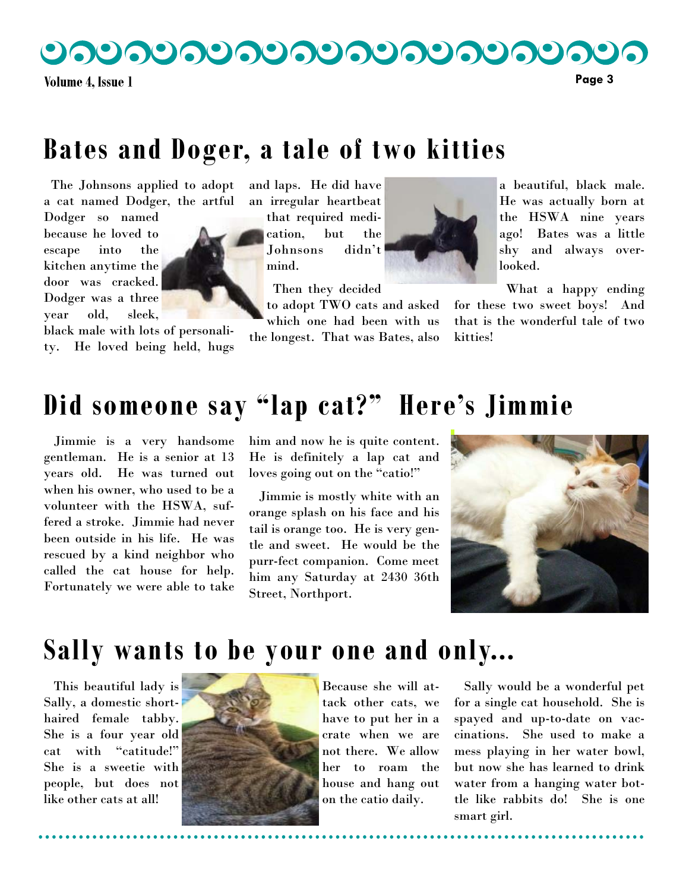**Volume 4. Issue 1** 

# **Bates and Doger, a tale of two kitties**

 The Johnsons applied to adopt a cat named Dodger, the artful

Dodger so named because he loved to escape into the kitchen anytime the door was cracked. Dodger was a three year old, sleek,

black male with lots of personality. He loved being held, hugs and laps. He did have an irregular heartbeat

<u>ಲನಲನಲನಲನಲನಲನಲನಲನಲ</u>

that required medication, but the Johnsons didn't mind.

Then they decided

to adopt TWO cats and asked which one had been with us

the longest. That was Bates, also

a beautiful, black male. He was actually born at the HSWA nine years ago! Bates was a little shy and always overlooked.

What a happy ending

for these two sweet boys! And that is the wonderful tale of two kitties!

# **Did someone say "lap cat?" Here's Jimmie**

 Jimmie is a very handsome gentleman. He is a senior at 13 years old. He was turned out when his owner, who used to be a volunteer with the HSWA, suffered a stroke. Jimmie had never been outside in his life. He was rescued by a kind neighbor who called the cat house for help. Fortunately we were able to take him and now he is quite content. He is definitely a lap cat and loves going out on the "catio!"

 Jimmie is mostly white with an orange splash on his face and his tail is orange too. He is very gentle and sweet. He would be the purr-fect companion. Come meet him any Saturday at 2430 36th Street, Northport.



## **Sally wants to be your one and only...**

 This beautiful lady is Sally, a domestic shorthaired female tabby. She is a four year old cat with "catitude!" She is a sweetie with people, but does not like other cats at all!



Because she will attack other cats, we have to put her in a crate when we are not there. We allow her to roam the house and hang out on the catio daily.

 Sally would be a wonderful pet for a single cat household. She is spayed and up-to-date on vaccinations. She used to make a mess playing in her water bowl, but now she has learned to drink water from a hanging water bottle like rabbits do! She is one smart girl.

**Page 3**